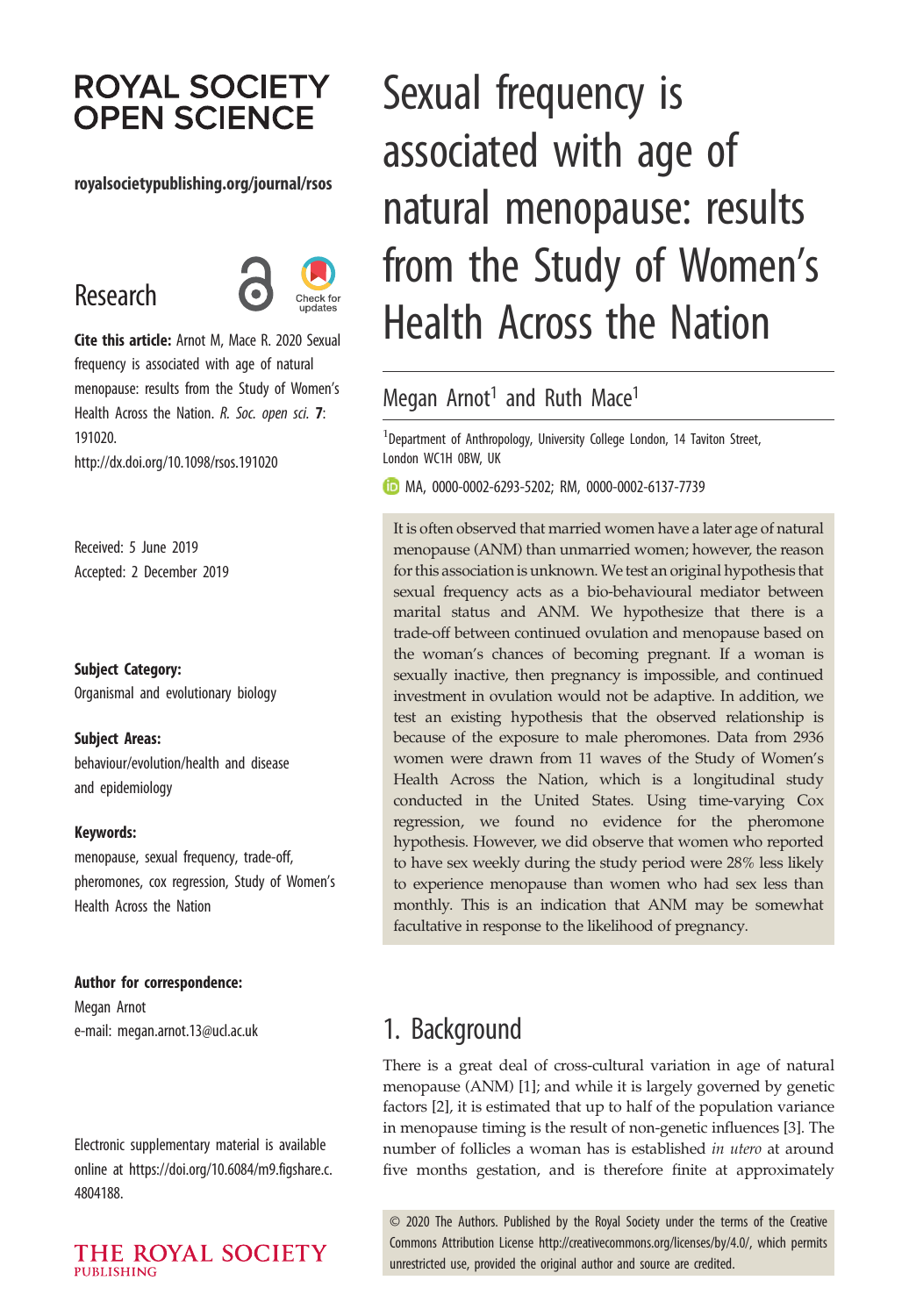# **ROYAL SOCIETY OPEN SCIENCE**

#### royalsocietypublishing.org/journal/rsos

# Research



Cite this article: Arnot M, Mace R. 2020 Sexual frequency is associated with age of natural menopause: results from the Study of Women's Health Across the Nation. R. Soc. open sci. 7: 191020.

http://dx.doi.org/10.1098/rsos.191020

Received: 5 June 2019 Accepted: 2 December 2019

Subject Category:

Organismal and evolutionary biology

#### Subject Areas:

behaviour/evolution/health and disease and epidemiology

#### Keywords:

menopause, sexual frequency, trade-off, pheromones, cox regression, Study of Women's Health Across the Nation

#### Author for correspondence:

Megan Arnot e-mail: [megan.arnot.13@ucl.ac.uk](mailto:megan.arnot.13@ucl.ac.uk)

Electronic supplementary material is available online at [https://doi.org/10.6084/m9.figshare.c.](https://doi.org/10.6084/m9.figshare.c.4804188) [4804188.](https://doi.org/10.6084/m9.figshare.c.4804188)

#### THE ROYAL SOCIETY **PUBLISHING**

# Sexual frequency is associated with age of natural menopause: results from the Study of Women's Health Across the Nation

## Megan Arnot<sup>1</sup> and Ruth Mace<sup>1</sup>

<sup>1</sup> Department of Anthropology, University College London, 14 Taviton Street, London WC1H 0BW, UK

MA, [0000-0002-6293-5202](http://orcid.org/0000-0002-6293-5202); RM, [0000-0002-6137-7739](http://orcid.org/0000-0002-6137-7739)

It is often observed that married women have a later age of natural menopause (ANM) than unmarried women; however, the reason for this association is unknown. We test an original hypothesis that sexual frequency acts as a bio-behavioural mediator between marital status and ANM. We hypothesize that there is a trade-off between continued ovulation and menopause based on the woman's chances of becoming pregnant. If a woman is sexually inactive, then pregnancy is impossible, and continued investment in ovulation would not be adaptive. In addition, we test an existing hypothesis that the observed relationship is because of the exposure to male pheromones. Data from 2936 women were drawn from 11 waves of the Study of Women's Health Across the Nation, which is a longitudinal study conducted in the United States. Using time-varying Cox regression, we found no evidence for the pheromone hypothesis. However, we did observe that women who reported to have sex weekly during the study period were 28% less likely to experience menopause than women who had sex less than monthly. This is an indication that ANM may be somewhat facultative in response to the likelihood of pregnancy.

# 1. Background

There is a great deal of cross-cultural variation in age of natural menopause (ANM) [[1](#page-8-0)]; and while it is largely governed by genetic factors [[2](#page-8-0)], it is estimated that up to half of the population variance in menopause timing is the result of non-genetic influences [[3](#page-8-0)]. The number of follicles a woman has is established in utero at around five months gestation, and is therefore finite at approximately

© 2020 The Authors. Published by the Royal Society under the terms of the Creative Commons Attribution License<http://creativecommons.org/licenses/by/4.0/>, which permits unrestricted use, provided the original author and source are credited.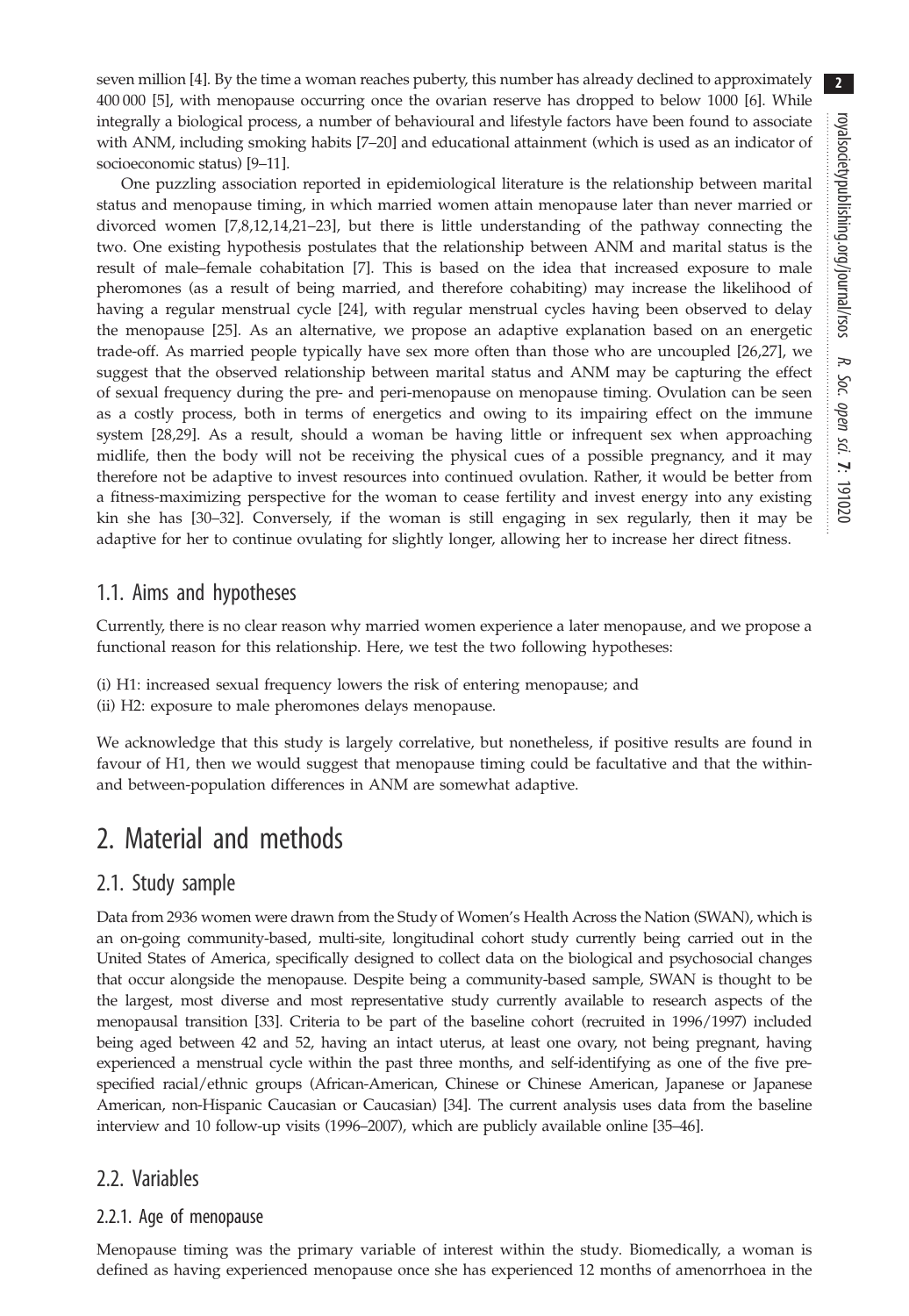seven million [[4](#page-8-0)]. By the time a woman reaches puberty, this number has already declined to approximately 400 000 [\[5\]](#page-8-0), with menopause occurring once the ovarian reserve has dropped to below 1000 [\[6\]](#page-8-0). While integrally a biological process, a number of behavioural and lifestyle factors have been found to associate with ANM, including smoking habits [\[7](#page-8-0)–[20](#page-8-0)] and educational attainment (which is used as an indicator of socioeconomic status) [\[9](#page-8-0)–[11\]](#page-8-0).

One puzzling association reported in epidemiological literature is the relationship between marital status and menopause timing, in which married women attain menopause later than never married or divorced women [[7](#page-8-0),[8,12](#page-8-0),[14,21](#page-8-0)–[23](#page-8-0)], but there is little understanding of the pathway connecting the two. One existing hypothesis postulates that the relationship between ANM and marital status is the result of male–female cohabitation [[7](#page-8-0)]. This is based on the idea that increased exposure to male pheromones (as a result of being married, and therefore cohabiting) may increase the likelihood of having a regular menstrual cycle [\[24](#page-8-0)], with regular menstrual cycles having been observed to delay the menopause [[25\]](#page-8-0). As an alternative, we propose an adaptive explanation based on an energetic trade-off. As married people typically have sex more often than those who are uncoupled [\[26,27](#page-8-0)], we suggest that the observed relationship between marital status and ANM may be capturing the effect of sexual frequency during the pre- and peri-menopause on menopause timing. Ovulation can be seen as a costly process, both in terms of energetics and owing to its impairing effect on the immune system [[28,](#page-8-0)[29](#page-9-0)]. As a result, should a woman be having little or infrequent sex when approaching midlife, then the body will not be receiving the physical cues of a possible pregnancy, and it may therefore not be adaptive to invest resources into continued ovulation. Rather, it would be better from a fitness-maximizing perspective for the woman to cease fertility and invest energy into any existing kin she has [[30](#page-9-0)–[32](#page-9-0)]. Conversely, if the woman is still engaging in sex regularly, then it may be adaptive for her to continue ovulating for slightly longer, allowing her to increase her direct fitness.

### 1.1. Aims and hypotheses

Currently, there is no clear reason why married women experience a later menopause, and we propose a functional reason for this relationship. Here, we test the two following hypotheses:

- (i) H1: increased sexual frequency lowers the risk of entering menopause; and
- (ii) H2: exposure to male pheromones delays menopause.

We acknowledge that this study is largely correlative, but nonetheless, if positive results are found in favour of H1, then we would suggest that menopause timing could be facultative and that the withinand between-population differences in ANM are somewhat adaptive.

# 2. Material and methods

### 2.1. Study sample

Data from 2936 women were drawn from the Study of Women's Health Across the Nation (SWAN), which is an on-going community-based, multi-site, longitudinal cohort study currently being carried out in the United States of America, specifically designed to collect data on the biological and psychosocial changes that occur alongside the menopause. Despite being a community-based sample, SWAN is thought to be the largest, most diverse and most representative study currently available to research aspects of the menopausal transition [\[33\]](#page-9-0). Criteria to be part of the baseline cohort (recruited in 1996/1997) included being aged between 42 and 52, having an intact uterus, at least one ovary, not being pregnant, having experienced a menstrual cycle within the past three months, and self-identifying as one of the five prespecified racial/ethnic groups (African-American, Chinese or Chinese American, Japanese or Japanese American, non-Hispanic Caucasian or Caucasian) [\[34\]](#page-9-0). The current analysis uses data from the baseline interview and 10 follow-up visits (1996–2007), which are publicly available online [[35](#page-9-0)–[46](#page-9-0)].

### 2.2. Variables

#### 2.2.1. Age of menopause

Menopause timing was the primary variable of interest within the study. Biomedically, a woman is defined as having experienced menopause once she has experienced 12 months of amenorrhoea in the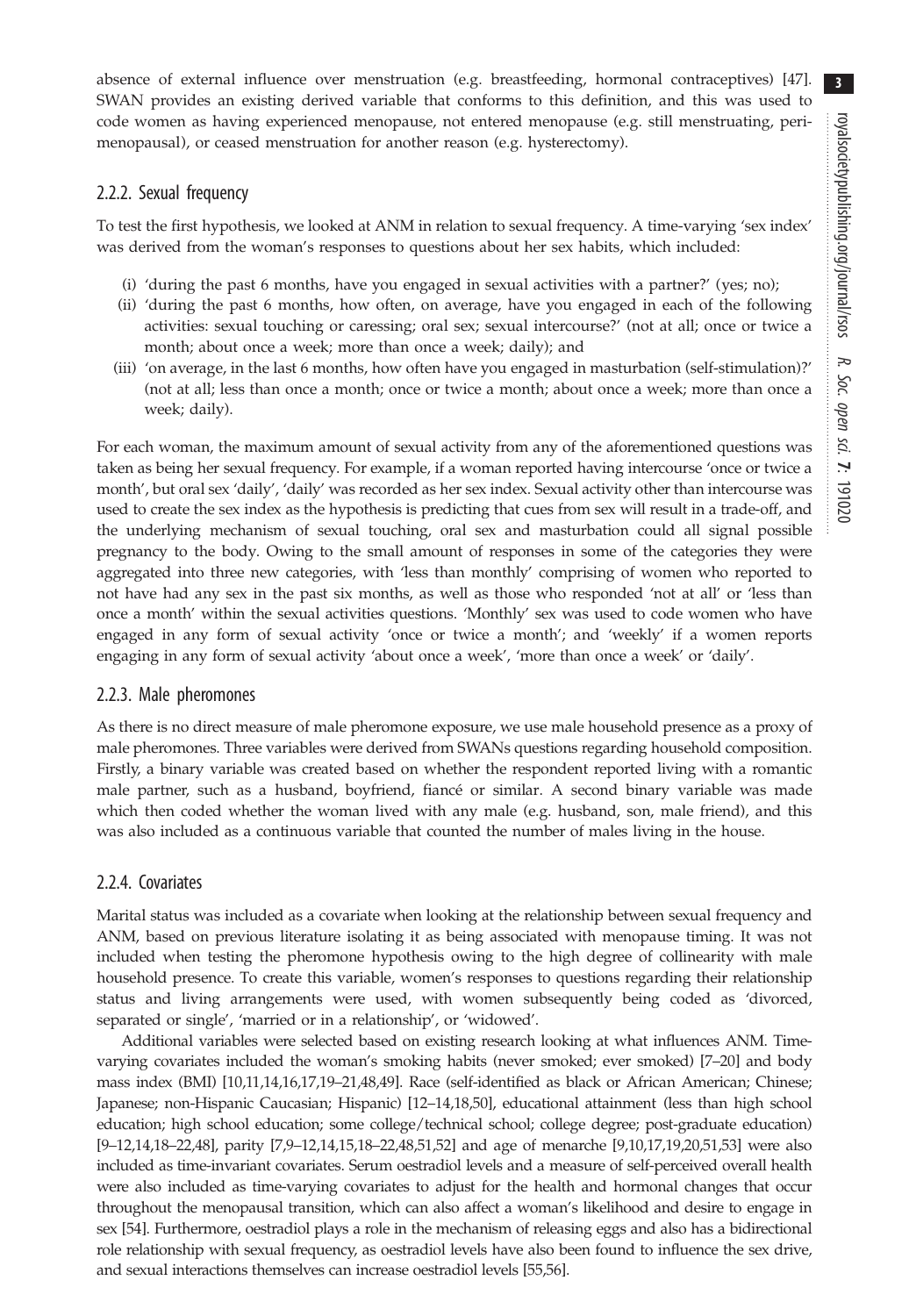absence of external influence over menstruation (e.g. breastfeeding, hormonal contraceptives) [\[47](#page-9-0)]. SWAN provides an existing derived variable that conforms to this definition, and this was used to code women as having experienced menopause, not entered menopause (e.g. still menstruating, perimenopausal), or ceased menstruation for another reason (e.g. hysterectomy).

#### 2.2.2. Sexual frequency

To test the first hypothesis, we looked at ANM in relation to sexual frequency. A time-varying 'sex index' was derived from the woman's responses to questions about her sex habits, which included:

- (i) 'during the past 6 months, have you engaged in sexual activities with a partner?' (yes; no);
- (ii) 'during the past 6 months, how often, on average, have you engaged in each of the following activities: sexual touching or caressing; oral sex; sexual intercourse?' (not at all; once or twice a month; about once a week; more than once a week; daily); and
- (iii) 'on average, in the last 6 months, how often have you engaged in masturbation (self-stimulation)?' (not at all; less than once a month; once or twice a month; about once a week; more than once a week; daily).

For each woman, the maximum amount of sexual activity from any of the aforementioned questions was taken as being her sexual frequency. For example, if a woman reported having intercourse 'once or twice a month', but oral sex 'daily', 'daily' was recorded as her sex index. Sexual activity other than intercourse was used to create the sex index as the hypothesis is predicting that cues from sex will result in a trade-off, and the underlying mechanism of sexual touching, oral sex and masturbation could all signal possible pregnancy to the body. Owing to the small amount of responses in some of the categories they were aggregated into three new categories, with 'less than monthly' comprising of women who reported to not have had any sex in the past six months, as well as those who responded 'not at all' or 'less than once a month' within the sexual activities questions. 'Monthly' sex was used to code women who have engaged in any form of sexual activity 'once or twice a month'; and 'weekly' if a women reports engaging in any form of sexual activity 'about once a week', 'more than once a week' or 'daily'.

#### 2.2.3. Male pheromones

As there is no direct measure of male pheromone exposure, we use male household presence as a proxy of male pheromones. Three variables were derived from SWANs questions regarding household composition. Firstly, a binary variable was created based on whether the respondent reported living with a romantic male partner, such as a husband, boyfriend, fiancé or similar. A second binary variable was made which then coded whether the woman lived with any male (e.g. husband, son, male friend), and this was also included as a continuous variable that counted the number of males living in the house.

#### 2.2.4. Covariates

Marital status was included as a covariate when looking at the relationship between sexual frequency and ANM, based on previous literature isolating it as being associated with menopause timing. It was not included when testing the pheromone hypothesis owing to the high degree of collinearity with male household presence. To create this variable, women's responses to questions regarding their relationship status and living arrangements were used, with women subsequently being coded as 'divorced, separated or single', 'married or in a relationship', or 'widowed'.

Additional variables were selected based on existing research looking at what influences ANM. Timevarying covariates included the woman's smoking habits (never smoked; ever smoked) [\[7](#page-8-0)–[20](#page-8-0)] and body mass index (BMI) [\[10,11,14,16,17](#page-8-0),[19](#page-8-0)–[21](#page-8-0)[,48,49\]](#page-9-0). Race (self-identified as black or African American; Chinese; Japanese; non-Hispanic Caucasian; Hispanic) [\[12](#page-8-0)–[14,18](#page-8-0)[,50](#page-9-0)], educational attainment (less than high school education; high school education; some college/technical school; college degree; post-graduate education) [\[9](#page-8-0)–[12,14,18](#page-8-0)–[22](#page-8-0)[,48\]](#page-9-0), parity [\[7,9](#page-8-0)–[12,14](#page-8-0),[15,18](#page-8-0)–[22](#page-8-0)[,48,51,52](#page-9-0)] and age of menarche [[9,10,17,19,20,](#page-8-0)[51](#page-9-0),[53](#page-9-0)] were also included as time-invariant covariates. Serum oestradiol levels and a measure of self-perceived overall health were also included as time-varying covariates to adjust for the health and hormonal changes that occur throughout the menopausal transition, which can also affect a woman's likelihood and desire to engage in sex [[54](#page-9-0)]. Furthermore, oestradiol plays a role in the mechanism of releasing eggs and also has a bidirectional role relationship with sexual frequency, as oestradiol levels have also been found to influence the sex drive, and sexual interactions themselves can increase oestradiol levels [\[55,56](#page-9-0)].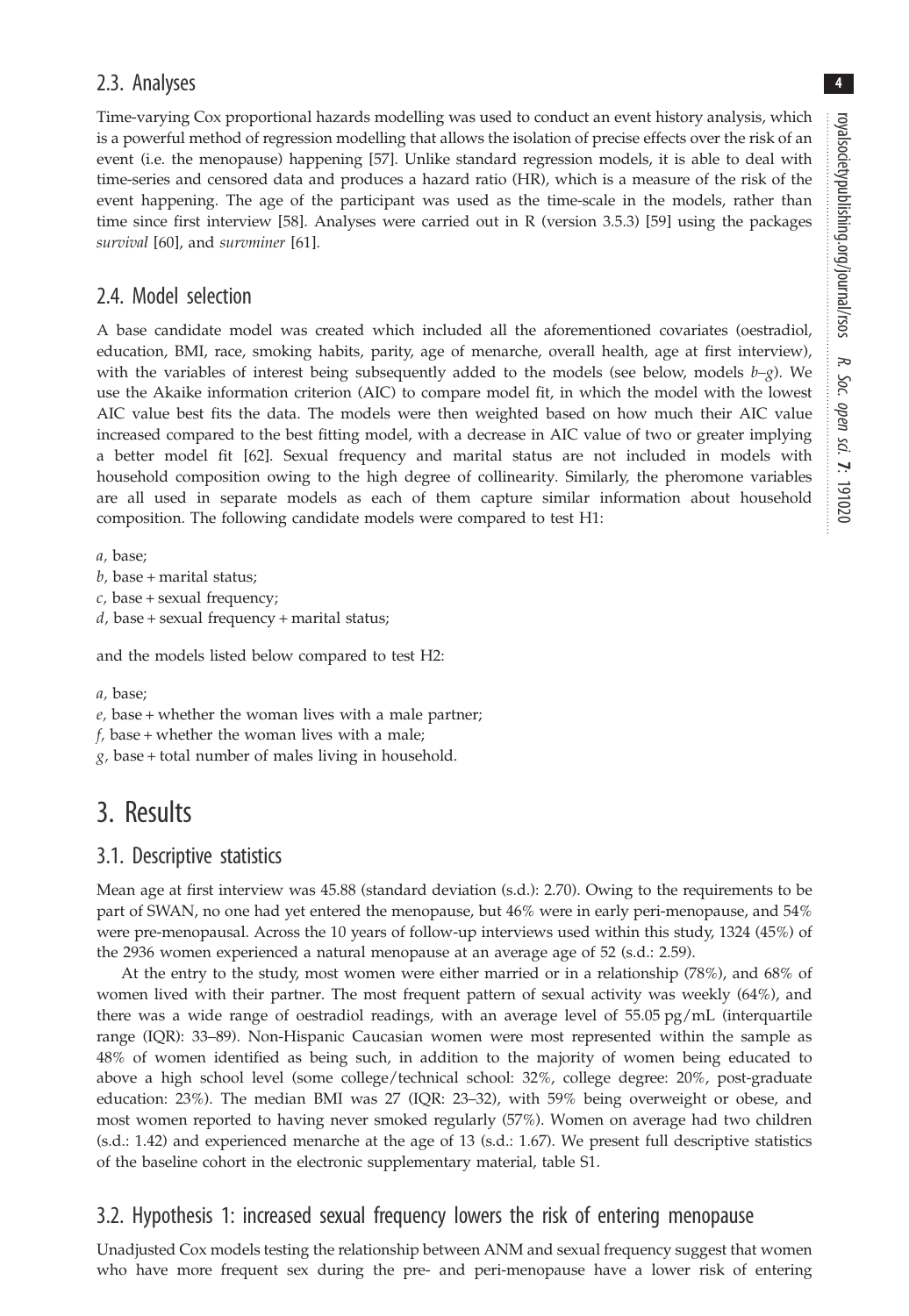4

### 2.3. Analyses

Time-varying Cox proportional hazards modelling was used to conduct an event history analysis, which is a powerful method of regression modelling that allows the isolation of precise effects over the risk of an event (i.e. the menopause) happening [[57\]](#page-9-0). Unlike standard regression models, it is able to deal with time-series and censored data and produces a hazard ratio (HR), which is a measure of the risk of the event happening. The age of the participant was used as the time-scale in the models, rather than time since first interview [[58\]](#page-9-0). Analyses were carried out in R (version 3.5.3) [[59\]](#page-9-0) using the packages survival [\[60](#page-9-0)], and survminer [[61\]](#page-9-0).

### 2.4. Model selection

A base candidate model was created which included all the aforementioned covariates (oestradiol, education, BMI, race, smoking habits, parity, age of menarche, overall health, age at first interview), with the variables of interest being subsequently added to the models (see below, models  $b-g$ ). We use the Akaike information criterion (AIC) to compare model fit, in which the model with the lowest AIC value best fits the data. The models were then weighted based on how much their AIC value increased compared to the best fitting model, with a decrease in AIC value of two or greater implying a better model fit [[62\]](#page-9-0). Sexual frequency and marital status are not included in models with household composition owing to the high degree of collinearity. Similarly, the pheromone variables are all used in separate models as each of them capture similar information about household composition. The following candidate models were compared to test H1:

a, base;

- $b$ , base + marital status;
- $c$ , base + sexual frequency;
- $d$ , base + sexual frequency + marital status;

and the models listed below compared to test H2:

a, base;

- $e$ , base + whether the woman lives with a male partner;
- $f$ , base + whether the woman lives with a male;
- $g$ , base + total number of males living in household.

# 3. Results

### 3.1. Descriptive statistics

Mean age at first interview was 45.88 (standard deviation (s.d.): 2.70). Owing to the requirements to be part of SWAN, no one had yet entered the menopause, but 46% were in early peri-menopause, and 54% were pre-menopausal. Across the 10 years of follow-up interviews used within this study, 1324 (45%) of the 2936 women experienced a natural menopause at an average age of 52 (s.d.: 2.59).

At the entry to the study, most women were either married or in a relationship (78%), and 68% of women lived with their partner. The most frequent pattern of sexual activity was weekly (64%), and there was a wide range of oestradiol readings, with an average level of 55.05 pg/mL (interquartile range (IQR): 33–89). Non-Hispanic Caucasian women were most represented within the sample as 48% of women identified as being such, in addition to the majority of women being educated to above a high school level (some college/technical school: 32%, college degree: 20%, post-graduate education: 23%). The median BMI was 27 (IQR: 23–32), with 59% being overweight or obese, and most women reported to having never smoked regularly (57%). Women on average had two children (s.d.: 1.42) and experienced menarche at the age of 13 (s.d.: 1.67). We present full descriptive statistics of the baseline cohort in the electronic supplementary material, table S1.

# 3.2. Hypothesis 1: increased sexual frequency lowers the risk of entering menopause

Unadjusted Cox models testing the relationship between ANM and sexual frequency suggest that women who have more frequent sex during the pre- and peri-menopause have a lower risk of entering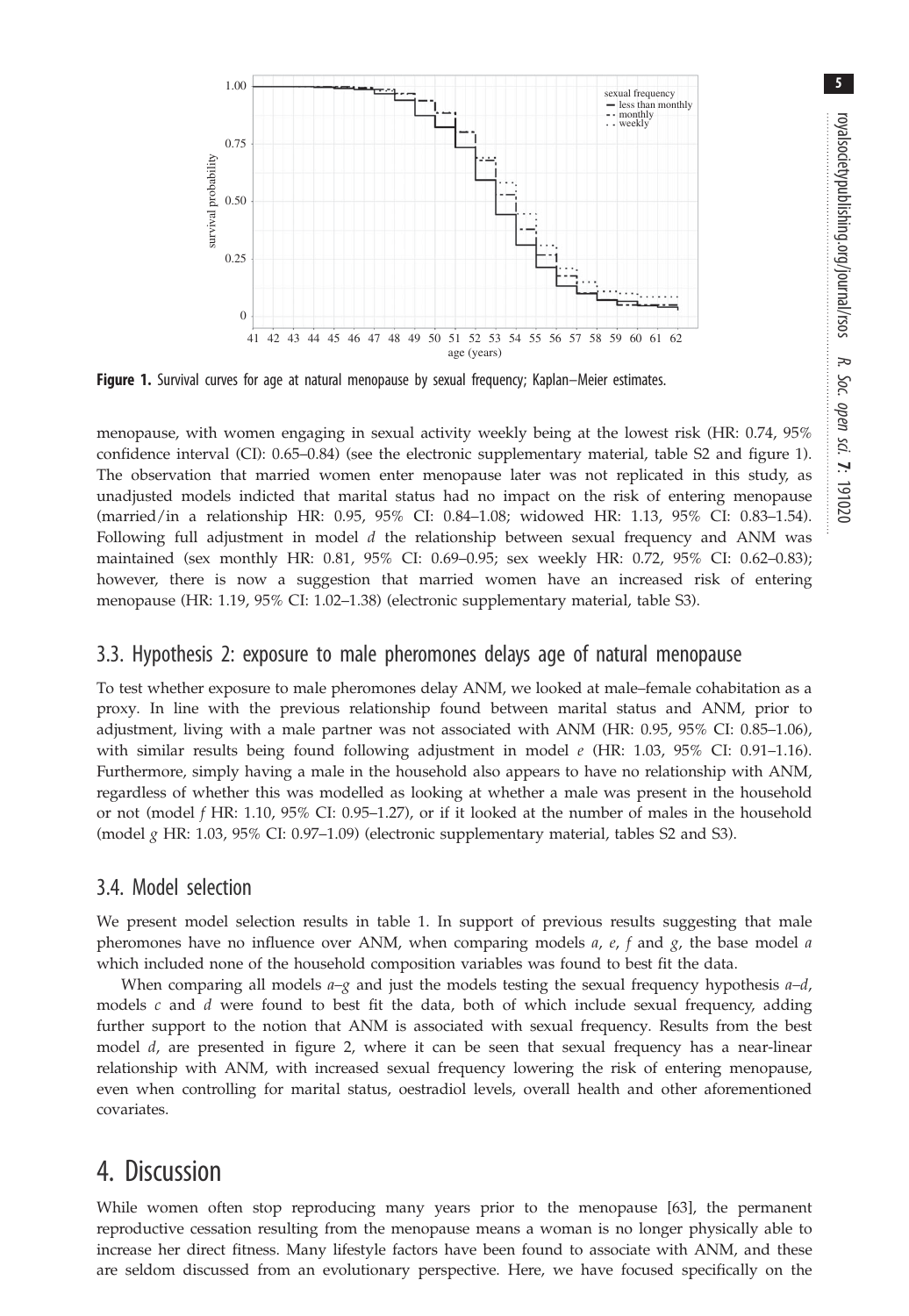

Figure 1. Survival curves for age at natural menopause by sexual frequency; Kaplan–Meier estimates.

menopause, with women engaging in sexual activity weekly being at the lowest risk (HR: 0.74, 95% confidence interval (CI): 0.65–0.84) (see the electronic supplementary material, table S2 and figure 1). The observation that married women enter menopause later was not replicated in this study, as unadjusted models indicted that marital status had no impact on the risk of entering menopause (married/in a relationship HR: 0.95, 95% CI: 0.84–1.08; widowed HR: 1.13, 95% CI: 0.83–1.54). Following full adjustment in model d the relationship between sexual frequency and ANM was maintained (sex monthly HR: 0.81, 95% CI: 0.69–0.95; sex weekly HR: 0.72, 95% CI: 0.62–0.83); however, there is now a suggestion that married women have an increased risk of entering menopause (HR: 1.19, 95% CI: 1.02–1.38) (electronic supplementary material, table S3).

### 3.3. Hypothesis 2: exposure to male pheromones delays age of natural menopause

To test whether exposure to male pheromones delay ANM, we looked at male–female cohabitation as a proxy. In line with the previous relationship found between marital status and ANM, prior to adjustment, living with a male partner was not associated with ANM (HR: 0.95, 95% CI: 0.85–1.06), with similar results being found following adjustment in model  $e$  (HR: 1.03, 95% CI: 0.91–1.16). Furthermore, simply having a male in the household also appears to have no relationship with ANM, regardless of whether this was modelled as looking at whether a male was present in the household or not (model f HR: 1.10, 95% CI: 0.95–1.27), or if it looked at the number of males in the household (model  $g$  HR: 1.03, 95% CI: 0.97–1.09) (electronic supplementary material, tables S2 and S3).

### 3.4. Model selection

We present model selection results in [table 1.](#page-5-0) In support of previous results suggesting that male pheromones have no influence over ANM, when comparing models  $a$ ,  $e$ ,  $f$  and  $g$ , the base model  $a$ which included none of the household composition variables was found to best fit the data.

When comparing all models  $a-g$  and just the models testing the sexual frequency hypothesis  $a-d$ , models  $c$  and  $d$  were found to best fit the data, both of which include sexual frequency, adding further support to the notion that ANM is associated with sexual frequency. Results from the best model *d*, are presented in [figure 2,](#page-6-0) where it can be seen that sexual frequency has a near-linear relationship with ANM, with increased sexual frequency lowering the risk of entering menopause, even when controlling for marital status, oestradiol levels, overall health and other aforementioned covariates.

# 4. Discussion

While women often stop reproducing many years prior to the menopause [\[63](#page-9-0)], the permanent reproductive cessation resulting from the menopause means a woman is no longer physically able to increase her direct fitness. Many lifestyle factors have been found to associate with ANM, and these are seldom discussed from an evolutionary perspective. Here, we have focused specifically on the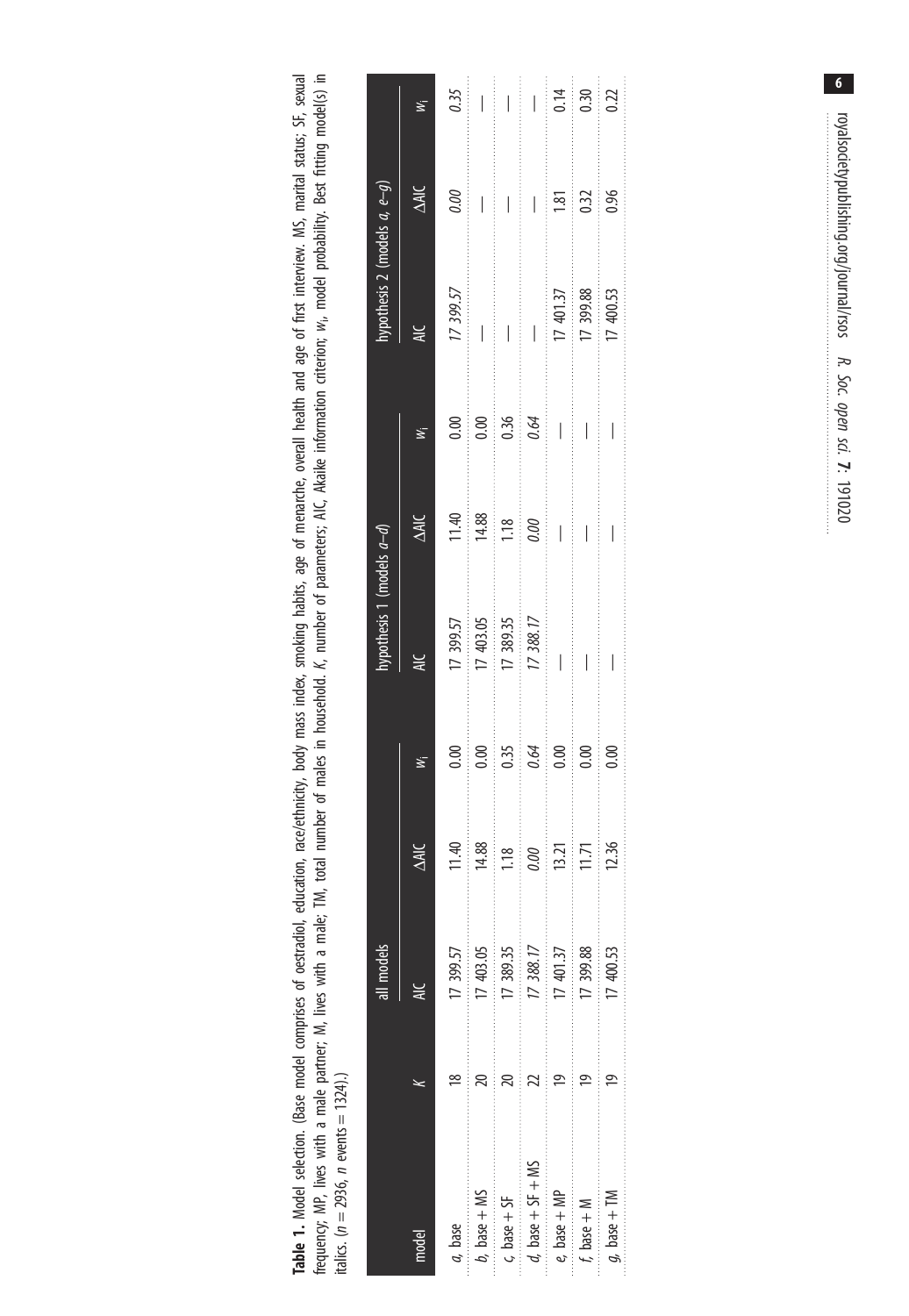<span id="page-5-0"></span>Table 1. Model selection. (Base model comprises of oestradiol, education, race/ethnicity, body mass index, smoking habits, age of menarche, overall health and age of first interview. MS, marital status; SF, sexual<br>frequenc frequency; MP, lives with a male partner; M, lives with a male; TM, total number of males in household. K, number of parameters; AIC, Akaike information criterion; wi, model probability. Best fitting model(s) in Table 1. Model selection. (Base model comprises of oestradiol, education, race/ethnicity, body mass index, smoking habits, age of menarche, overall health and age of first interview. MS, marital status; SF, sexual italics. ( $n = 2936$ ,  $n$  events  $= 1324$ ).)

|                                                                                                                                                                                                                                                                                                                                                                                                                                                                                         |   | all models     |                         |                                 | hypothesis 1 (models $a-d$ ) |                                                                                                                                                                                                                                                                                                                                                                                                                                                                                                |           | hypothesis 2 (models $a, e-g$ ) |                       |                          |
|-----------------------------------------------------------------------------------------------------------------------------------------------------------------------------------------------------------------------------------------------------------------------------------------------------------------------------------------------------------------------------------------------------------------------------------------------------------------------------------------|---|----------------|-------------------------|---------------------------------|------------------------------|------------------------------------------------------------------------------------------------------------------------------------------------------------------------------------------------------------------------------------------------------------------------------------------------------------------------------------------------------------------------------------------------------------------------------------------------------------------------------------------------|-----------|---------------------------------|-----------------------|--------------------------|
|                                                                                                                                                                                                                                                                                                                                                                                                                                                                                         |   |                | <b>AIC</b>              |                                 |                              | <b>ANC</b>                                                                                                                                                                                                                                                                                                                                                                                                                                                                                     |           |                                 | <b>NK</b>             |                          |
| a, base                                                                                                                                                                                                                                                                                                                                                                                                                                                                                 |   | 17 399.57      | 11.4                    | 0.00                            | 17 399.57                    | 11.40                                                                                                                                                                                                                                                                                                                                                                                                                                                                                          | 0.00      | 17 399.57                       | 0.00                  | 0.35                     |
| $b, \text{ base} + \text{MS}$                                                                                                                                                                                                                                                                                                                                                                                                                                                           |   | 17 403.05<br>. | in the control<br>14.88 | $\frac{1}{2}$<br>0.00           | 17 403.05                    | $\begin{array}{ccccccccc} \multicolumn{2}{c}{} & \multicolumn{2}{c}{} & \multicolumn{2}{c}{} & \multicolumn{2}{c}{} & \multicolumn{2}{c}{} & \multicolumn{2}{c}{} & \multicolumn{2}{c}{} & \multicolumn{2}{c}{} & \multicolumn{2}{c}{} & \multicolumn{2}{c}{} & \multicolumn{2}{c}{} & \multicolumn{2}{c}{} & \multicolumn{2}{c}{} & \multicolumn{2}{c}{} & \multicolumn{2}{c}{} & \multicolumn{2}{c}{} & \multicolumn{2}{c}{} & \multicolumn{2}{c}{} & \multicolumn{2}{c}{} & \mult$<br>14.88 | 0.00      |                                 |                       |                          |
| $c, base + SF$                                                                                                                                                                                                                                                                                                                                                                                                                                                                          |   | 17 389.35      | 1.18                    | 0.35                            | 17 389.35                    | .<br>1.18                                                                                                                                                                                                                                                                                                                                                                                                                                                                                      | .<br>0.36 | I                               | I                     | $\overline{\phantom{a}}$ |
| $d, \text{ base} + SF + MS$                                                                                                                                                                                                                                                                                                                                                                                                                                                             |   | 17 388.17      | $\frac{1}{2}$<br>0.00   | <br>0.64                        | 17 388.17                    | $\frac{1}{2}$<br>0.00                                                                                                                                                                                                                                                                                                                                                                                                                                                                          | 0.64      | I                               | I                     | $\overline{\phantom{a}}$ |
| $\label{eq:conformal} \begin{array}{ll} \begin{array}{ll} \text{if} & \text{if} & \text{if} & \text{if} & \text{if} & \text{if} & \text{if} & \text{if} & \text{if} & \text{if} & \text{if} & \text{if} & \text{if} & \text{if} & \text{if} & \text{if} & \text{if} & \text{if} & \text{if} & \text{if} & \text{if} & \text{if} & \text{if} & \text{if} & \text{if} & \text{if} & \text{if} & \text{if} & \text{if} & \text{if} & \text{if} & \text{if} & \text{if}$<br>$e$ , base + MP | ă | 17 401.37      | 13.21                   | :<br>:<br>:<br>0.00             | I                            |                                                                                                                                                                                                                                                                                                                                                                                                                                                                                                | I         | 17 401.37                       | $\frac{1}{2}$<br>1.81 | 0.14                     |
| f, base $+ M$                                                                                                                                                                                                                                                                                                                                                                                                                                                                           |   | 17 399.88      | 11.71                   | 0.00                            | I                            | I                                                                                                                                                                                                                                                                                                                                                                                                                                                                                              | I         | 17 399.88                       | 0.32                  | 0.30                     |
| $g$ , base + TM                                                                                                                                                                                                                                                                                                                                                                                                                                                                         |   | 17 400.53      | 12.36                   | $\frac{1}{2}$<br>$\frac{8}{10}$ | I                            |                                                                                                                                                                                                                                                                                                                                                                                                                                                                                                | I         | 17 400.53                       | 0.96                  | 0.22                     |

 $6\overline{6}$ oyalsocietypublishing.org/journal/rsos R. Soc. open sci. 7: 191020 royalsocietypublishing.org/journal/rsos R. Soc. open sci.  $\mathbf{r}$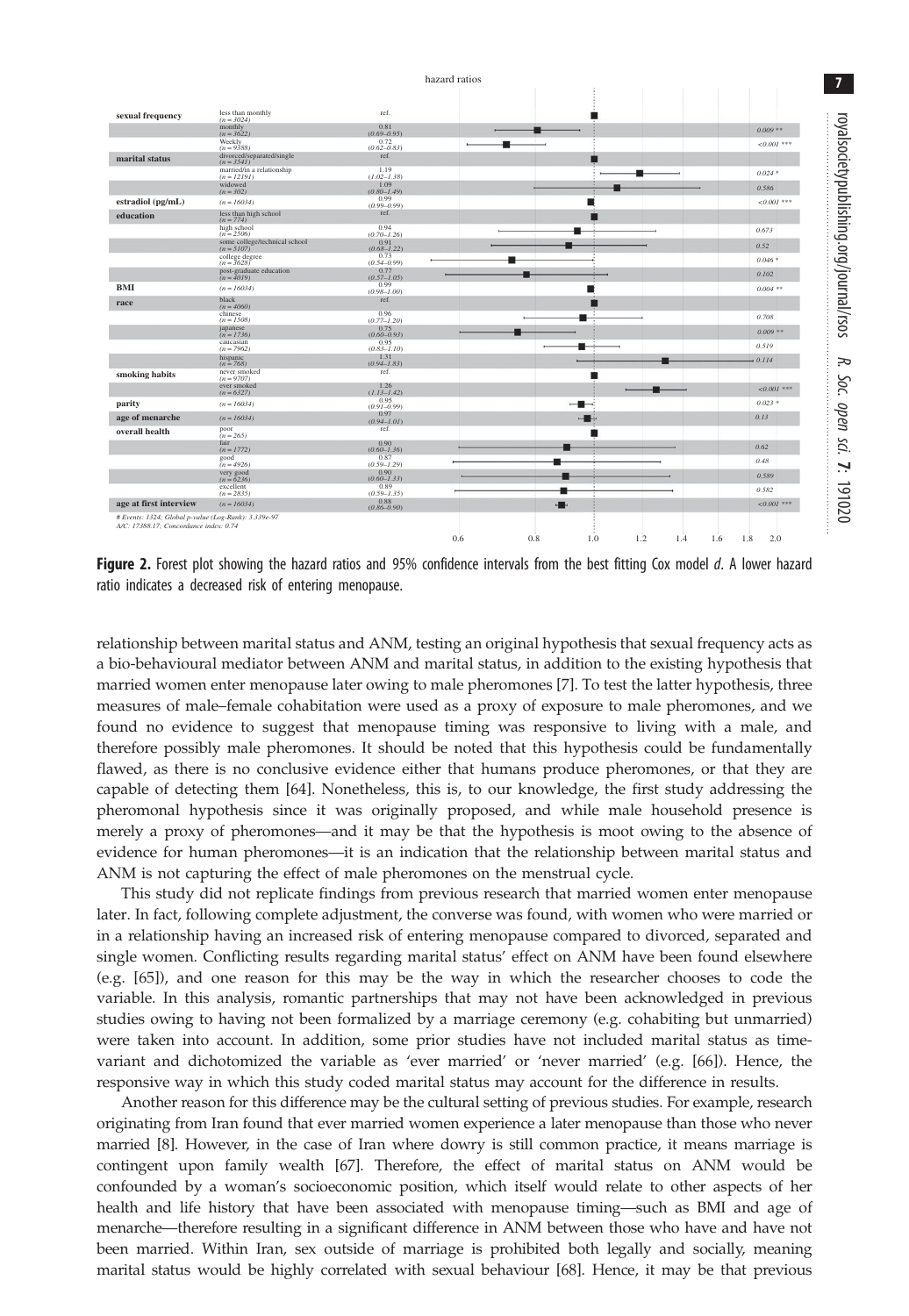#### hazard ratios

<span id="page-6-0"></span>

| sexual frequency                                     | less than monthly<br>$(n = 3024)$          | ref.                      |     |     |  |               |
|------------------------------------------------------|--------------------------------------------|---------------------------|-----|-----|--|---------------|
|                                                      | monthly<br>$(n = 3622)$                    | 0.81<br>$(0.69 - 0.95)$   |     |     |  | $0.009**$     |
|                                                      | Weekly<br>$(n = 9388)$                     | $(0.62 - 0.83)$           |     |     |  | $< 0.001$ *** |
| marital status                                       | divorced/separated/single<br>$(n = 3541)$  | ref.                      |     |     |  |               |
|                                                      | married/in a relationship<br>$(n = 12191)$ | 1.19<br>$(I.02 - I.38)$   |     |     |  | $0.024*$      |
|                                                      | widowed<br>$(n = 302)$                     | 1.09<br>$(0.80 - 1.49)$   |     |     |  | 0.586         |
| estradiol (pg/mL)                                    | $(n = 16034)$                              | 0.99<br>$(0.99 - 0.99)$   |     |     |  | $< 0.001$ *** |
| education                                            | less than high school                      | ref.                      |     |     |  |               |
|                                                      | $(n = 774)$<br>high school<br>$(n = 2506)$ | 0.94<br>$(0.70 - 1.26)$   |     |     |  | 0.673         |
|                                                      | some college/technical school              | 0.91                      |     |     |  | 0.52          |
|                                                      | $(n = 5107)$<br>college degree             | $(0.68 - 1.22)$<br>0.73   |     |     |  | $0.046*$      |
|                                                      | $(n = 3628)$<br>post-graduate education    | $(0.54 - 0.99)$<br>0.77   |     |     |  | 0.102         |
| <b>BMI</b>                                           | $(n = 4019)$<br>$(n = 16034)$              | $(0.57 - 1.05)$<br>0.99   |     |     |  | $0.004$ **    |
| race                                                 | black                                      | $(0.98 - 1.00)$<br>ref.   |     |     |  |               |
|                                                      | $(n = 4060)$<br>chinese                    | 0.96                      |     |     |  | 0.708         |
|                                                      | $(n = 1508)$<br>japanese                   | $(0, 77 - 1, 20)$<br>0.75 |     |     |  | $0.009**$     |
|                                                      | $(n = 1736)$<br>caucasian                  | $(0.60 - 0.93)$<br>0.95   |     |     |  |               |
|                                                      | $(n = 7962)$<br>hispanic                   | $(0.83 - 1.10)$<br>1.31   |     |     |  | 0.519         |
|                                                      | $(n = 768)$<br>never smoked                | $(0.94 - 1.83)$<br>ref.   |     |     |  | 0.114         |
| smoking habits                                       | $(n = 9707)$<br>ever smoked                | 1.26                      |     |     |  |               |
|                                                      | $(n = 6327)$                               | (I.I3–I.42)               |     |     |  | $< 0.001$ *** |
| parity                                               | $(n = 16034)$                              | 0.95<br>$(0.91 - 0.99)$   |     | $-$ |  | $0.023$ *     |
| age of menarche                                      | $(n = 16034)$                              | 0.97<br>$(0.94 - 1.01)$   |     | ≕   |  | 0.13          |
| overall health                                       | poor<br>$(n = 265)$                        | ref.                      |     |     |  |               |
|                                                      | fair<br>$(n = 1772)$                       | 0.90<br>$(0.60 - 1.36)$   |     |     |  | 0.62          |
|                                                      | good<br>$(n = 4926)$                       | 0.87<br>$(0.59 - 1.29)$   |     |     |  | 0.48          |
|                                                      | very good<br>$(n = 6236)$                  | 0.90<br>$(0.60 - 1.33)$   |     |     |  | 0.589         |
|                                                      | excellent<br>$(n = 2835)$                  | 0.89<br>$(0.59 - 1.35)$   |     |     |  | 0.582         |
| age at first interview                               | $(n = 16034)$                              | 0.88<br>$(0.86 - 0.90)$   | . . |     |  | $< 0.001$ *** |
| # Events: 1324; Global p-value (Log-Rank): 3.339e-97 |                                            |                           |     |     |  |               |
| A/C: 17388.17; Concordance index: 0.74               |                                            |                           |     |     |  |               |

Figure 2. Forest plot showing the hazard ratios and 95% confidence intervals from the best fitting Cox model d. A lower hazard ratio indicates a decreased risk of entering menopause.

relationship between marital status and ANM, testing an original hypothesis that sexual frequency acts as a bio-behavioural mediator between ANM and marital status, in addition to the existing hypothesis that married women enter menopause later owing to male pheromones [\[7\]](#page-8-0). To test the latter hypothesis, three measures of male–female cohabitation were used as a proxy of exposure to male pheromones, and we found no evidence to suggest that menopause timing was responsive to living with a male, and therefore possibly male pheromones. It should be noted that this hypothesis could be fundamentally flawed, as there is no conclusive evidence either that humans produce pheromones, or that they are capable of detecting them [\[64](#page-9-0)]. Nonetheless, this is, to our knowledge, the first study addressing the pheromonal hypothesis since it was originally proposed, and while male household presence is merely a proxy of pheromones—and it may be that the hypothesis is moot owing to the absence of evidence for human pheromones—it is an indication that the relationship between marital status and ANM is not capturing the effect of male pheromones on the menstrual cycle.

This study did not replicate findings from previous research that married women enter menopause later. In fact, following complete adjustment, the converse was found, with women who were married or in a relationship having an increased risk of entering menopause compared to divorced, separated and single women. Conflicting results regarding marital status' effect on ANM have been found elsewhere (e.g. [[65\]](#page-9-0)), and one reason for this may be the way in which the researcher chooses to code the variable. In this analysis, romantic partnerships that may not have been acknowledged in previous studies owing to having not been formalized by a marriage ceremony (e.g. cohabiting but unmarried) were taken into account. In addition, some prior studies have not included marital status as timevariant and dichotomized the variable as 'ever married' or 'never married' (e.g. [[66\]](#page-9-0)). Hence, the responsive way in which this study coded marital status may account for the difference in results.

Another reason for this difference may be the cultural setting of previous studies. For example, research originating from Iran found that ever married women experience a later menopause than those who never married [\[8](#page-8-0)]. However, in the case of Iran where dowry is still common practice, it means marriage is contingent upon family wealth [\[67](#page-9-0)]. Therefore, the effect of marital status on ANM would be confounded by a woman's socioeconomic position, which itself would relate to other aspects of her health and life history that have been associated with menopause timing—such as BMI and age of menarche—therefore resulting in a significant difference in ANM between those who have and have not been married. Within Iran, sex outside of marriage is prohibited both legally and socially, meaning marital status would be highly correlated with sexual behaviour [\[68](#page-9-0)]. Hence, it may be that previous

royalsocietypublishing.org/journal/rsos

royalsocietypublishing.org/journal/rsos

R. Soc. opensci.

7: 191020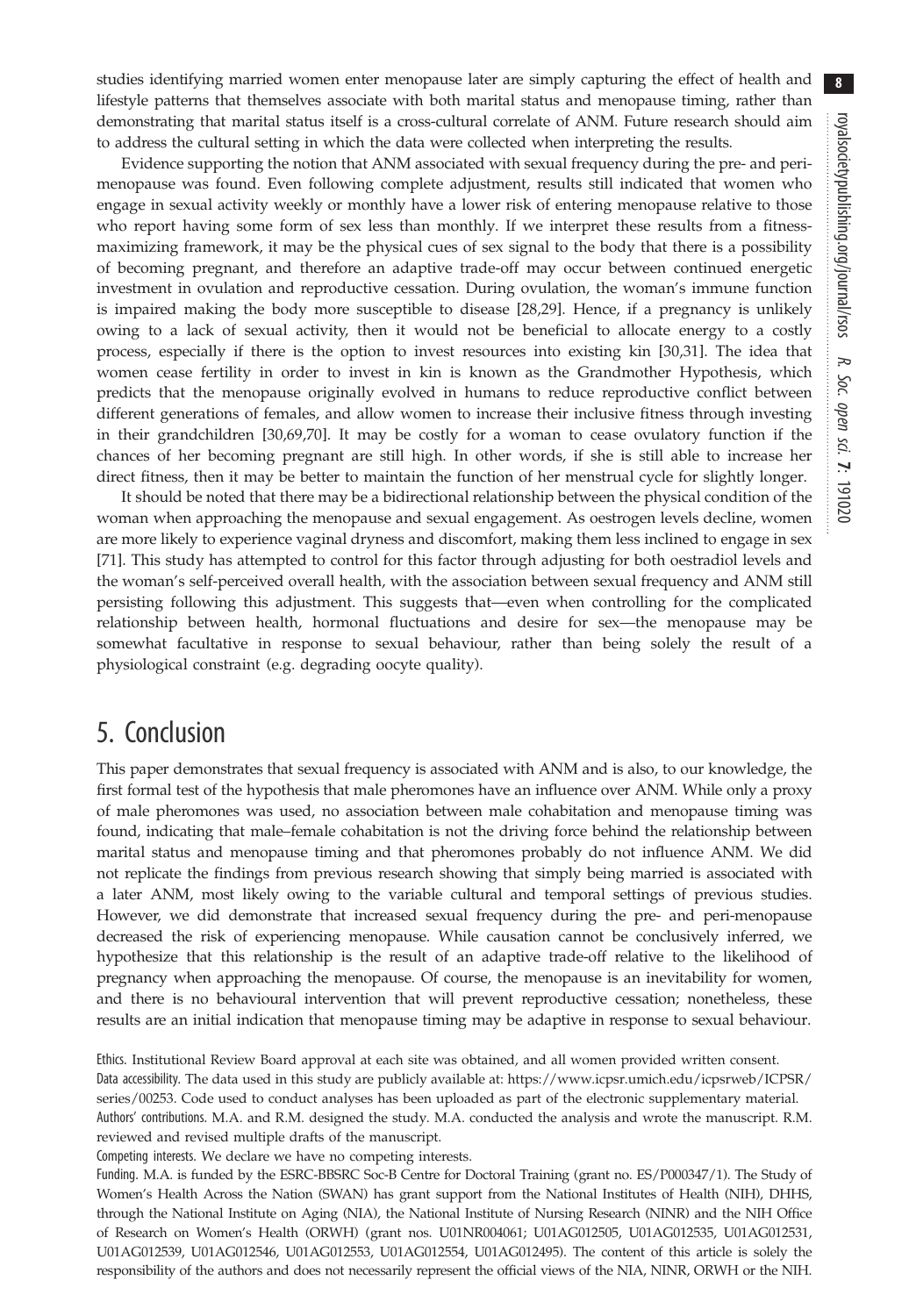studies identifying married women enter menopause later are simply capturing the effect of health and lifestyle patterns that themselves associate with both marital status and menopause timing, rather than demonstrating that marital status itself is a cross-cultural correlate of ANM. Future research should aim to address the cultural setting in which the data were collected when interpreting the results.

Evidence supporting the notion that ANM associated with sexual frequency during the pre- and perimenopause was found. Even following complete adjustment, results still indicated that women who engage in sexual activity weekly or monthly have a lower risk of entering menopause relative to those who report having some form of sex less than monthly. If we interpret these results from a fitnessmaximizing framework, it may be the physical cues of sex signal to the body that there is a possibility of becoming pregnant, and therefore an adaptive trade-off may occur between continued energetic investment in ovulation and reproductive cessation. During ovulation, the woman's immune function is impaired making the body more susceptible to disease [[28,](#page-8-0)[29\]](#page-9-0). Hence, if a pregnancy is unlikely owing to a lack of sexual activity, then it would not be beneficial to allocate energy to a costly process, especially if there is the option to invest resources into existing kin [\[30,31](#page-9-0)]. The idea that women cease fertility in order to invest in kin is known as the Grandmother Hypothesis, which predicts that the menopause originally evolved in humans to reduce reproductive conflict between different generations of females, and allow women to increase their inclusive fitness through investing in their grandchildren [[30,69,70](#page-9-0)]. It may be costly for a woman to cease ovulatory function if the chances of her becoming pregnant are still high. In other words, if she is still able to increase her direct fitness, then it may be better to maintain the function of her menstrual cycle for slightly longer.

It should be noted that there may be a bidirectional relationship between the physical condition of the woman when approaching the menopause and sexual engagement. As oestrogen levels decline, women are more likely to experience vaginal dryness and discomfort, making them less inclined to engage in sex [\[71](#page-9-0)]. This study has attempted to control for this factor through adjusting for both oestradiol levels and the woman's self-perceived overall health, with the association between sexual frequency and ANM still persisting following this adjustment. This suggests that—even when controlling for the complicated relationship between health, hormonal fluctuations and desire for sex—the menopause may be somewhat facultative in response to sexual behaviour, rather than being solely the result of a physiological constraint (e.g. degrading oocyte quality).

# 5. Conclusion

This paper demonstrates that sexual frequency is associated with ANM and is also, to our knowledge, the first formal test of the hypothesis that male pheromones have an influence over ANM. While only a proxy of male pheromones was used, no association between male cohabitation and menopause timing was found, indicating that male–female cohabitation is not the driving force behind the relationship between marital status and menopause timing and that pheromones probably do not influence ANM. We did not replicate the findings from previous research showing that simply being married is associated with a later ANM, most likely owing to the variable cultural and temporal settings of previous studies. However, we did demonstrate that increased sexual frequency during the pre- and peri-menopause decreased the risk of experiencing menopause. While causation cannot be conclusively inferred, we hypothesize that this relationship is the result of an adaptive trade-off relative to the likelihood of pregnancy when approaching the menopause. Of course, the menopause is an inevitability for women, and there is no behavioural intervention that will prevent reproductive cessation; nonetheless, these results are an initial indication that menopause timing may be adaptive in response to sexual behaviour.

Ethics. Institutional Review Board approval at each site was obtained, and all women provided written consent. Data accessibility. The data used in this study are publicly available at: [https://www.icpsr.umich.edu/icpsrweb/ICPSR/](https://www.icpsr.umich.edu/icpsrweb/ICPSR/series/00253) [series/00253.](https://www.icpsr.umich.edu/icpsrweb/ICPSR/series/00253) Code used to conduct analyses has been uploaded as part of the electronic supplementary material. Authors' contributions. M.A. and R.M. designed the study. M.A. conducted the analysis and wrote the manuscript. R.M. reviewed and revised multiple drafts of the manuscript.

Competing interests. We declare we have no competing interests.

Funding. M.A. is funded by the ESRC-BBSRC Soc-B Centre for Doctoral Training (grant no. ES/P000347/1). The Study of Women's Health Across the Nation (SWAN) has grant support from the National Institutes of Health (NIH), DHHS, through the National Institute on Aging (NIA), the National Institute of Nursing Research (NINR) and the NIH Office of Research on Women's Health (ORWH) (grant nos. U01NR004061; U01AG012505, U01AG012535, U01AG012531, U01AG012539, U01AG012546, U01AG012553, U01AG012554, U01AG012495). The content of this article is solely the responsibility of the authors and does not necessarily represent the official views of the NIA, NINR, ORWH or the NIH.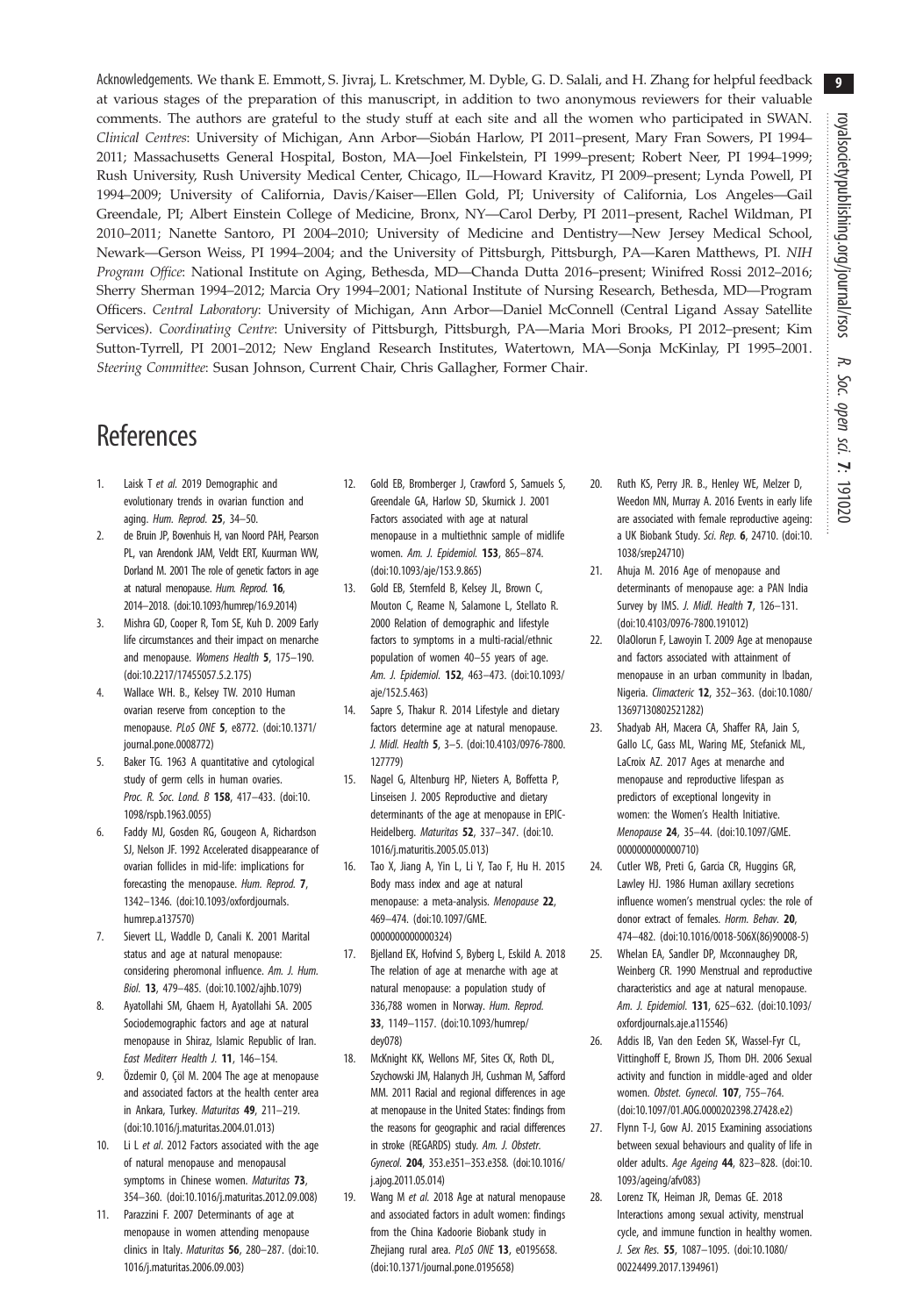<span id="page-8-0"></span>Acknowledgements. We thank E. Emmott, S. Jivraj, L. Kretschmer, M. Dyble, G. D. Salali, and H. Zhang for helpful feedback at various stages of the preparation of this manuscript, in addition to two anonymous reviewers for their valuable comments. The authors are grateful to the study stuff at each site and all the women who participated in SWAN. Clinical Centres: University of Michigan, Ann Arbor—Siobán Harlow, PI 2011–present, Mary Fran Sowers, PI 1994– 2011; Massachusetts General Hospital, Boston, MA—Joel Finkelstein, PI 1999–present; Robert Neer, PI 1994–1999; Rush University, Rush University Medical Center, Chicago, IL—Howard Kravitz, PI 2009–present; Lynda Powell, PI 1994–2009; University of California, Davis/Kaiser—Ellen Gold, PI; University of California, Los Angeles—Gail Greendale, PI; Albert Einstein College of Medicine, Bronx, NY—Carol Derby, PI 2011–present, Rachel Wildman, PI 2010–2011; Nanette Santoro, PI 2004–2010; University of Medicine and Dentistry—New Jersey Medical School, Newark—Gerson Weiss, PI 1994–2004; and the University of Pittsburgh, Pittsburgh, PA—Karen Matthews, PI. NIH Program Office: National Institute on Aging, Bethesda, MD—Chanda Dutta 2016–present; Winifred Rossi 2012–2016; Sherry Sherman 1994–2012; Marcia Ory 1994–2001; National Institute of Nursing Research, Bethesda, MD—Program Officers. Central Laboratory: University of Michigan, Ann Arbor—Daniel McConnell (Central Ligand Assay Satellite Services). Coordinating Centre: University of Pittsburgh, Pittsburgh, PA-Maria Mori Brooks, PI 2012-present; Kim Sutton-Tyrrell, PI 2001–2012; New England Research Institutes, Watertown, MA—Sonja McKinlay, PI 1995–2001. Steering Committee: Susan Johnson, Current Chair, Chris Gallagher, Former Chair.

# References

- 1. Laisk T et al. 2019 Demographic and evolutionary trends in ovarian function and aging. Hum. Reprod. 25, 34–50.
- 2. de Bruin JP, Bovenhuis H, van Noord PAH, Pearson PL, van Arendonk JAM, Veldt ERT, Kuurman WW, Dorland M. 2001 The role of genetic factors in age at natural menopause. Hum. Reprod. 16, 2014–2018. ([doi:10.1093/humrep/16.9.2014\)](http://dx.doi.org/10.1093/humrep/16.9.2014)
- 3. Mishra GD, Cooper R, Tom SE, Kuh D. 2009 Early life circumstances and their impact on menarche and menopause. Womens Health 5, 175–190. ([doi:10.2217/17455057.5.2.175\)](http://dx.doi.org/10.2217/17455057.5.2.175)
- 4. Wallace WH. B., Kelsey TW. 2010 Human ovarian reserve from conception to the menopause. PLoS ONE 5, e8772. ([doi:10.1371/](http://dx.doi.org/10.1371/journal.pone.0008772) [journal.pone.0008772\)](http://dx.doi.org/10.1371/journal.pone.0008772)
- 5. Baker TG. 1963 A quantitative and cytological study of germ cells in human ovaries. Proc. R. Soc. Lond. B 158, 417-433. ([doi:10.](http://dx.doi.org/10.1098/rspb.1963.0055) [1098/rspb.1963.0055\)](http://dx.doi.org/10.1098/rspb.1963.0055)
- Faddy MJ, Gosden RG, Gougeon A, Richardson SJ, Nelson JF. 1992 Accelerated disappearance of ovarian follicles in mid-life: implications for forecasting the menopause. Hum. Reprod. 7, 1342–1346. [\(doi:10.1093/oxfordjournals.](http://dx.doi.org/10.1093/oxfordjournals.humrep.a137570) [humrep.a137570\)](http://dx.doi.org/10.1093/oxfordjournals.humrep.a137570)
- 7. Sievert LL, Waddle D, Canali K. 2001 Marital status and age at natural menopause: considering pheromonal influence. Am. J. Hum. Biol. 13, 479–485. [\(doi:10.1002/ajhb.1079\)](http://dx.doi.org/10.1002/ajhb.1079)
- 8. Ayatollahi SM, Ghaem H, Ayatollahi SA. 2005 Sociodemographic factors and age at natural menopause in Shiraz, Islamic Republic of Iran. East Mediterr Health J. 11, 146–154.
- 9. Özdemir O, Çöl M. 2004 The age at menopause and associated factors at the health center area in Ankara, Turkey. Maturitas 49, 211–219. ([doi:10.1016/j.maturitas.2004.01.013\)](http://dx.doi.org/10.1016/j.maturitas.2004.01.013)
- 10. Li L et al. 2012 Factors associated with the age of natural menopause and menopausal symptoms in Chinese women. Maturitas 73, 354–360. ([doi:10.1016/j.maturitas.2012.09.008](http://dx.doi.org/10.1016/j.maturitas.2012.09.008))
- 11. Parazzini F. 2007 Determinants of age at menopause in women attending menopause clinics in Italy. Maturitas 56, 280-287. [\(doi:10.](http://dx.doi.org/10.1016/j.maturitas.2006.09.003) [1016/j.maturitas.2006.09.003\)](http://dx.doi.org/10.1016/j.maturitas.2006.09.003)
- 12. Gold EB, Bromberger J, Crawford S, Samuels S, Greendale GA, Harlow SD, Skurnick J. 2001 Factors associated with age at natural menopause in a multiethnic sample of midlife women. Am. J. Epidemiol. 153, 865–874. ([doi:10.1093/aje/153.9.865\)](http://dx.doi.org/10.1093/aje/153.9.865)
- 13. Gold EB, Sternfeld B, Kelsey JL, Brown C, Mouton C, Reame N, Salamone L, Stellato R. 2000 Relation of demographic and lifestyle factors to symptoms in a multi-racial/ethnic population of women 40–55 years of age. Am. J. Epidemiol. 152, 463–473. [\(doi:10.1093/](http://dx.doi.org/10.1093/aje/152.5.463) [aje/152.5.463](http://dx.doi.org/10.1093/aje/152.5.463))
- 14. Sapre S, Thakur R. 2014 Lifestyle and dietary factors determine age at natural menopause. J. Midl. Health 5, 3–5. ([doi:10.4103/0976-7800.](http://dx.doi.org/10.4103/0976-7800.127779) [127779\)](http://dx.doi.org/10.4103/0976-7800.127779)
- 15. Nagel G, Altenburg HP, Nieters A, Boffetta P, Linseisen J. 2005 Reproductive and dietary determinants of the age at menopause in EPIC-Heidelberg. Maturitas 52, 337–347. [\(doi:10.](http://dx.doi.org/10.1016/j.maturitis.2005.05.013) [1016/j.maturitis.2005.05.013\)](http://dx.doi.org/10.1016/j.maturitis.2005.05.013)
- 16. Tao X, Jiang A, Yin L, Li Y, Tao F, Hu H. 2015 Body mass index and age at natural menopause: a meta-analysis. Menopause 22, 469–474. [\(doi:10.1097/GME.](http://dx.doi.org/10.1097/GME.0000000000000324) [0000000000000324\)](http://dx.doi.org/10.1097/GME.0000000000000324)
- 17. Bjelland EK, Hofvind S, Byberg L, Eskild A. 2018 The relation of age at menarche with age at natural menopause: a population study of 336,788 women in Norway. Hum. Reprod. 33, 1149–1157. [\(doi:10.1093/humrep/](http://dx.doi.org/10.1093/humrep/dey078) [dey078](http://dx.doi.org/10.1093/humrep/dey078))
- 18. McKnight KK, Wellons MF, Sites CK, Roth DL, Szychowski JM, Halanych JH, Cushman M, Safford MM. 2011 Racial and regional differences in age at menopause in the United States: findings from the reasons for geographic and racial differences in stroke (REGARDS) study. Am. J. Obstetr. Gynecol. 204, 353.e351–353.e358. [\(doi:10.1016/](http://dx.doi.org/10.1016/j.ajog.2011.05.014) [j.ajog.2011.05.014\)](http://dx.doi.org/10.1016/j.ajog.2011.05.014)
- 19. Wang M et al. 2018 Age at natural menopause and associated factors in adult women: findings from the China Kadoorie Biobank study in Zhejiang rural area. PLoS ONE 13, e0195658. ([doi:10.1371/journal.pone.0195658](http://dx.doi.org/10.1371/journal.pone.0195658))
- 20. Ruth KS, Perry JR. B., Henley WE, Melzer D, Weedon MN, Murray A. 2016 Events in early life are associated with female reproductive ageing: a UK Biobank Study. Sci. Rep. 6, 24710. ([doi:10.](http://dx.doi.org/10.1038/srep24710) [1038/srep24710](http://dx.doi.org/10.1038/srep24710))
- 21. Ahuja M. 2016 Age of menopause and determinants of menopause age: a PAN India Survey by IMS. J. Midl. Health 7, 126-131. [\(doi:10.4103/0976-7800.191012](http://dx.doi.org/10.4103/0976-7800.191012))
- 22. OlaOlorun F, Lawoyin T. 2009 Age at menopause and factors associated with attainment of menopause in an urban community in Ibadan, Nigeria. Climacteric 12, 352–363. ([doi:10.1080/](http://dx.doi.org/10.1080/13697130802521282) [13697130802521282](http://dx.doi.org/10.1080/13697130802521282))
- 23. Shadyab AH, Macera CA, Shaffer RA, Jain S, Gallo LC, Gass ML, Waring ME, Stefanick ML, LaCroix AZ. 2017 Ages at menarche and menopause and reproductive lifespan as predictors of exceptional longevity in women: the Women's Health Initiative. Menopause 24, 35–44. ([doi:10.1097/GME.](http://dx.doi.org/10.1097/GME.0000000000000710) [0000000000000710\)](http://dx.doi.org/10.1097/GME.0000000000000710)
- 24. Cutler WB, Preti G, Garcia CR, Huggins GR, Lawley HJ. 1986 Human axillary secretions influence women's menstrual cycles: the role of donor extract of females. Horm. Behav. 20. 474–482. ([doi:10.1016/0018-506X\(86\)90008-5\)](http://dx.doi.org/10.1016/0018-506X(86)90008-5)
- 25. Whelan EA, Sandler DP, Mcconnaughey DR, Weinberg CR. 1990 Menstrual and reproductive characteristics and age at natural menopause. Am. J. Epidemiol. 131, 625–632. [\(doi:10.1093/](http://dx.doi.org/10.1093/oxfordjournals.aje.a115546) [oxfordjournals.aje.a115546](http://dx.doi.org/10.1093/oxfordjournals.aje.a115546))
- 26. Addis IB, Van den Eeden SK, Wassel-Fyr CL, Vittinghoff E, Brown JS, Thom DH. 2006 Sexual activity and function in middle-aged and older women. Obstet. Gynecol. 107, 755–764. [\(doi:10.1097/01.AOG.0000202398.27428.e2\)](http://dx.doi.org/10.1097/01.AOG.0000202398.27428.e2)
- 27. Flynn T-J, Gow AJ. 2015 Examining associations between sexual behaviours and quality of life in older adults. Age Ageing 44, 823–828. ([doi:10.](http://dx.doi.org/10.1093/ageing/afv083) [1093/ageing/afv083\)](http://dx.doi.org/10.1093/ageing/afv083)
- 28. Lorenz TK, Heiman JR, Demas GE. 2018 Interactions among sexual activity, menstrual cycle, and immune function in healthy women. J. Sex Res. 55, 1087–1095. ([doi:10.1080/](http://dx.doi.org/10.1080/00224499.2017.1394961) [00224499.2017.1394961\)](http://dx.doi.org/10.1080/00224499.2017.1394961)